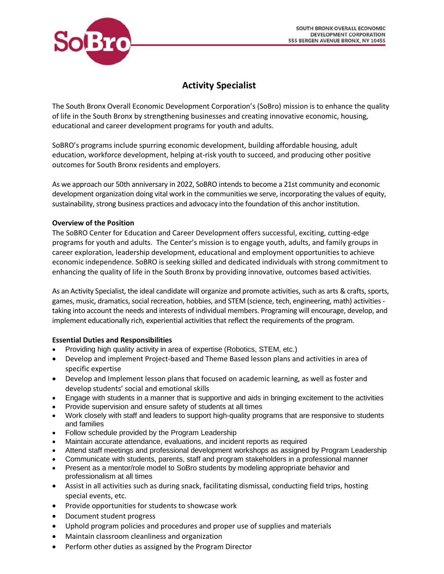

# **Activity Specialist**

The South Bronx Overall Economic Development Corporation's (SoBro) mission is to enhance the quality of life in the South Bronx by strengthening businesses and creating innovative economic, housing, educational and career development programs for youth and adults.

SoBRO's programs include spurring economic development, building affordable housing, adult education, workforce development, helping at-risk youth to succeed, and producing other positive outcomes for South Bronx residents and employers.

As we approach our 50th anniversary in 2022, SoBRO intends to become a 21st community and economic development organization doing vital work in the communities we serve, incorporating the values of equity, sustainability, strong business practices and advocacy into the foundation of this anchor institution.

## **Overview of the Position**

The SoBRO Center for Education and Career Development offers successful, exciting, cutting-edge programs for youth and adults. The Center's mission is to engage youth, adults, and family groups in career exploration, leadership development, educational and employment opportunities to achieve economic independence. SoBRO is seeking skilled and dedicated individuals with strong commitment to enhancing the quality of life in the South Bronx by providing innovative, outcomes based activities.

As an Activity Specialist, the ideal candidate will organize and promote activities, such as arts & crafts, sports, games, music, dramatics, social recreation, hobbies, and STEM (science, tech, engineering, math) activities taking into account the needs and interests of individual members. Programing will encourage, develop, and implement educationally rich, experiential activities that reflect the requirements of the program.

## **Essential Duties and Responsibilities**

- Providing high quality activity in area of expertise (Robotics, STEM, etc.)
- Develop and implement Project-based and Theme Based lesson plans and activities in area of specific expertise
- Develop and Implement lesson plans that focused on academic learning, as well as foster and develop students' social and emotional skills
- Engage with students in a manner that is supportive and aids in bringing excitement to the activities
- Provide supervision and ensure safety of students at all times
- Work closely with staff and leaders to support high-quality programs that are responsive to students and families
- Follow schedule provided by the Program Leadership
- Maintain accurate attendance, evaluations, and incident reports as required
- Attend staff meetings and professional development workshops as assigned by Program Leadership
- Communicate with students, parents, staff and program stakeholders in a professional manner
- Present as a mentor/role model to SoBro students by modeling appropriate behavior and professionalism at all times
- Assist in all activities such as during snack, facilitating dismissal, conducting field trips, hosting special events, etc.
- Provide opportunities for students to showcase work
- Document student progress
- Uphold program policies and procedures and proper use of supplies and materials
- Maintain classroom cleanliness and organization
- Perform other duties as assigned by the Program Director